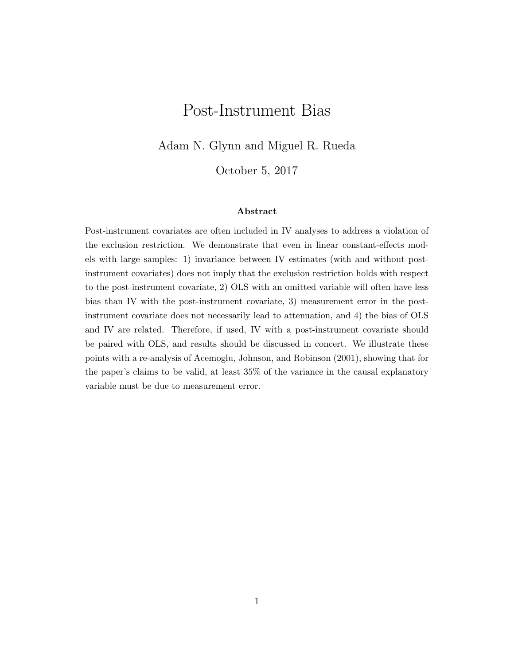# Post-Instrument Bias

Adam N. Glynn and Miguel R. Rueda

October 5, 2017

#### Abstract

Post-instrument covariates are often included in IV analyses to address a violation of the exclusion restriction. We demonstrate that even in linear constant-effects models with large samples: 1) invariance between IV estimates (with and without postinstrument covariates) does not imply that the exclusion restriction holds with respect to the post-instrument covariate, 2) OLS with an omitted variable will often have less bias than IV with the post-instrument covariate, 3) measurement error in the postinstrument covariate does not necessarily lead to attenuation, and 4) the bias of OLS and IV are related. Therefore, if used, IV with a post-instrument covariate should be paired with OLS, and results should be discussed in concert. We illustrate these points with a re-analysis of Acemoglu, Johnson, and Robinson (2001), showing that for the paper's claims to be valid, at least 35% of the variance in the causal explanatory variable must be due to measurement error.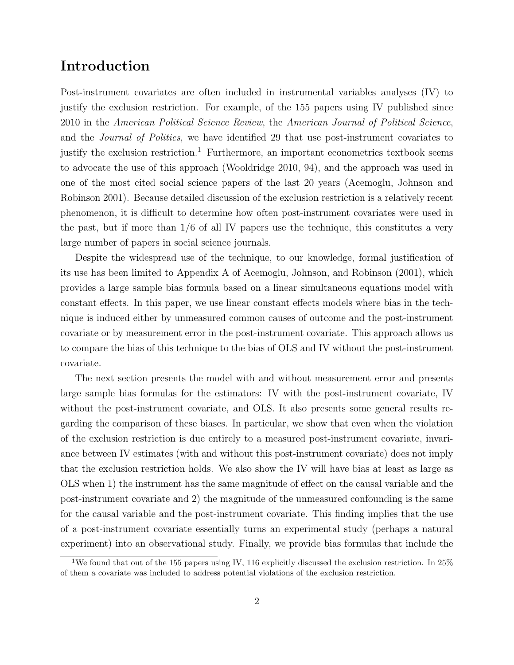### Introduction

Post-instrument covariates are often included in instrumental variables analyses (IV) to justify the exclusion restriction. For example, of the 155 papers using IV published since 2010 in the American Political Science Review, the American Journal of Political Science, and the Journal of Politics, we have identified 29 that use post-instrument covariates to justify the exclusion restriction.<sup>1</sup> Furthermore, an important econometrics textbook seems to advocate the use of this approach (Wooldridge 2010, 94), and the approach was used in one of the most cited social science papers of the last 20 years (Acemoglu, Johnson and Robinson 2001). Because detailed discussion of the exclusion restriction is a relatively recent phenomenon, it is difficult to determine how often post-instrument covariates were used in the past, but if more than  $1/6$  of all IV papers use the technique, this constitutes a very large number of papers in social science journals.

Despite the widespread use of the technique, to our knowledge, formal justification of its use has been limited to Appendix A of Acemoglu, Johnson, and Robinson (2001), which provides a large sample bias formula based on a linear simultaneous equations model with constant effects. In this paper, we use linear constant effects models where bias in the technique is induced either by unmeasured common causes of outcome and the post-instrument covariate or by measurement error in the post-instrument covariate. This approach allows us to compare the bias of this technique to the bias of OLS and IV without the post-instrument covariate.

The next section presents the model with and without measurement error and presents large sample bias formulas for the estimators: IV with the post-instrument covariate, IV without the post-instrument covariate, and OLS. It also presents some general results regarding the comparison of these biases. In particular, we show that even when the violation of the exclusion restriction is due entirely to a measured post-instrument covariate, invariance between IV estimates (with and without this post-instrument covariate) does not imply that the exclusion restriction holds. We also show the IV will have bias at least as large as OLS when 1) the instrument has the same magnitude of effect on the causal variable and the post-instrument covariate and 2) the magnitude of the unmeasured confounding is the same for the causal variable and the post-instrument covariate. This finding implies that the use of a post-instrument covariate essentially turns an experimental study (perhaps a natural experiment) into an observational study. Finally, we provide bias formulas that include the

<sup>&</sup>lt;sup>1</sup>We found that out of the 155 papers using IV, 116 explicitly discussed the exclusion restriction. In 25% of them a covariate was included to address potential violations of the exclusion restriction.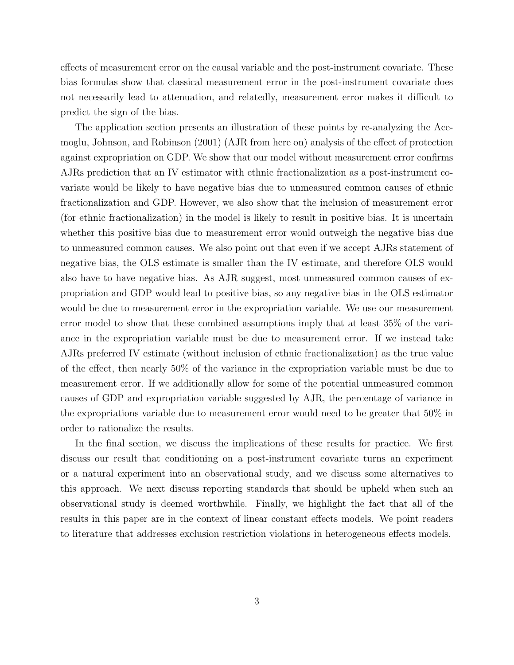effects of measurement error on the causal variable and the post-instrument covariate. These bias formulas show that classical measurement error in the post-instrument covariate does not necessarily lead to attenuation, and relatedly, measurement error makes it difficult to predict the sign of the bias.

The application section presents an illustration of these points by re-analyzing the Acemoglu, Johnson, and Robinson (2001) (AJR from here on) analysis of the effect of protection against expropriation on GDP. We show that our model without measurement error confirms AJRs prediction that an IV estimator with ethnic fractionalization as a post-instrument covariate would be likely to have negative bias due to unmeasured common causes of ethnic fractionalization and GDP. However, we also show that the inclusion of measurement error (for ethnic fractionalization) in the model is likely to result in positive bias. It is uncertain whether this positive bias due to measurement error would outweigh the negative bias due to unmeasured common causes. We also point out that even if we accept AJRs statement of negative bias, the OLS estimate is smaller than the IV estimate, and therefore OLS would also have to have negative bias. As AJR suggest, most unmeasured common causes of expropriation and GDP would lead to positive bias, so any negative bias in the OLS estimator would be due to measurement error in the expropriation variable. We use our measurement error model to show that these combined assumptions imply that at least 35% of the variance in the expropriation variable must be due to measurement error. If we instead take AJRs preferred IV estimate (without inclusion of ethnic fractionalization) as the true value of the effect, then nearly 50% of the variance in the expropriation variable must be due to measurement error. If we additionally allow for some of the potential unmeasured common causes of GDP and expropriation variable suggested by AJR, the percentage of variance in the expropriations variable due to measurement error would need to be greater that 50% in order to rationalize the results.

In the final section, we discuss the implications of these results for practice. We first discuss our result that conditioning on a post-instrument covariate turns an experiment or a natural experiment into an observational study, and we discuss some alternatives to this approach. We next discuss reporting standards that should be upheld when such an observational study is deemed worthwhile. Finally, we highlight the fact that all of the results in this paper are in the context of linear constant effects models. We point readers to literature that addresses exclusion restriction violations in heterogeneous effects models.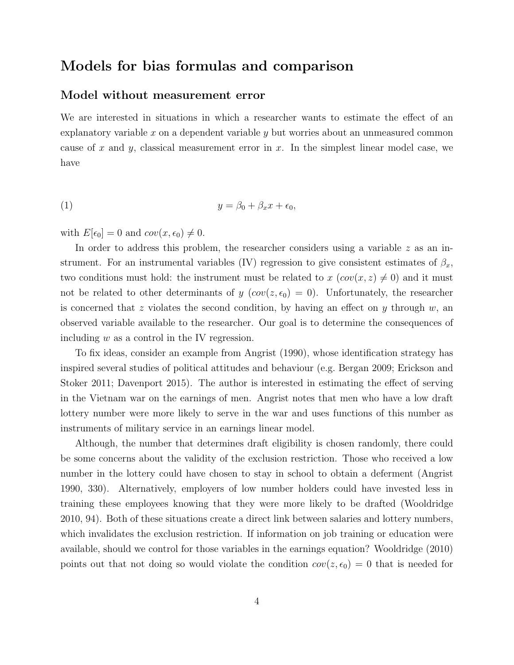### Models for bias formulas and comparison

### Model without measurement error

We are interested in situations in which a researcher wants to estimate the effect of an explanatory variable  $x$  on a dependent variable  $y$  but worries about an unmeasured common cause of x and y, classical measurement error in x. In the simplest linear model case, we have

$$
(1) \t\t y = \beta_0 + \beta_x x + \epsilon_0,
$$

with  $E[\epsilon_0] = 0$  and  $cov(x, \epsilon_0) \neq 0$ .

In order to address this problem, the researcher considers using a variable  $z$  as an instrument. For an instrumental variables (IV) regression to give consistent estimates of  $\beta_x$ , two conditions must hold: the instrument must be related to  $x (\text{cov}(x, z) \neq 0)$  and it must not be related to other determinants of y  $(cov(z, \epsilon_0) = 0)$ . Unfortunately, the researcher is concerned that z violates the second condition, by having an effect on y through  $w$ , an observed variable available to the researcher. Our goal is to determine the consequences of including  $w$  as a control in the IV regression.

To fix ideas, consider an example from Angrist (1990), whose identification strategy has inspired several studies of political attitudes and behaviour (e.g. Bergan 2009; Erickson and Stoker 2011; Davenport 2015). The author is interested in estimating the effect of serving in the Vietnam war on the earnings of men. Angrist notes that men who have a low draft lottery number were more likely to serve in the war and uses functions of this number as instruments of military service in an earnings linear model.

Although, the number that determines draft eligibility is chosen randomly, there could be some concerns about the validity of the exclusion restriction. Those who received a low number in the lottery could have chosen to stay in school to obtain a deferment (Angrist 1990, 330). Alternatively, employers of low number holders could have invested less in training these employees knowing that they were more likely to be drafted (Wooldridge 2010, 94). Both of these situations create a direct link between salaries and lottery numbers, which invalidates the exclusion restriction. If information on job training or education were available, should we control for those variables in the earnings equation? Wooldridge (2010) points out that not doing so would violate the condition  $cov(z, \epsilon_0) = 0$  that is needed for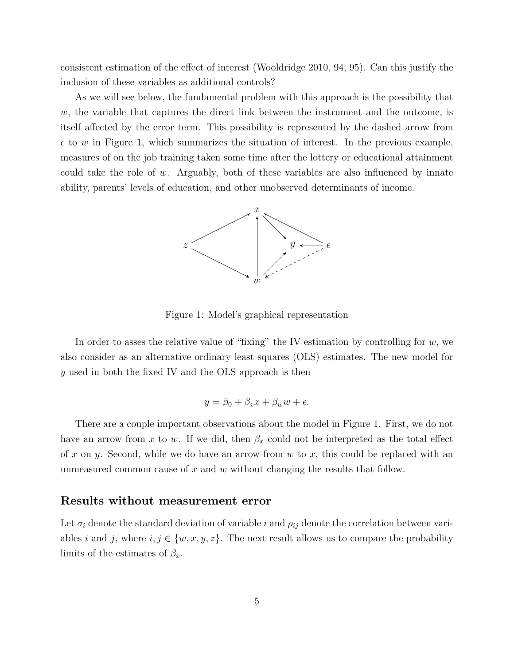consistent estimation of the effect of interest (Wooldridge 2010, 94, 95). Can this justify the inclusion of these variables as additional controls?

As we will see below, the fundamental problem with this approach is the possibility that  $w$ , the variable that captures the direct link between the instrument and the outcome, is itself affected by the error term. This possibility is represented by the dashed arrow from  $\epsilon$  to w in Figure 1, which summarizes the situation of interest. In the previous example, measures of on the job training taken some time after the lottery or educational attainment could take the role of w. Arguably, both of these variables are also influenced by innate ability, parents' levels of education, and other unobserved determinants of income.



Figure 1: Model's graphical representation

In order to asses the relative value of "fixing" the IV estimation by controlling for  $w$ , we also consider as an alternative ordinary least squares (OLS) estimates. The new model for y used in both the fixed IV and the OLS approach is then

$$
y = \beta_0 + \beta_x x + \beta_w w + \epsilon.
$$

There are a couple important observations about the model in Figure 1. First, we do not have an arrow from x to w. If we did, then  $\beta_x$  could not be interpreted as the total effect of x on y. Second, while we do have an arrow from  $w$  to x, this could be replaced with an unmeasured common cause of  $x$  and  $w$  without changing the results that follow.

#### Results without measurement error

Let  $\sigma_i$  denote the standard deviation of variable i and  $\rho_{ij}$  denote the correlation between variables i and j, where  $i, j \in \{w, x, y, z\}$ . The next result allows us to compare the probability limits of the estimates of  $\beta_x$ .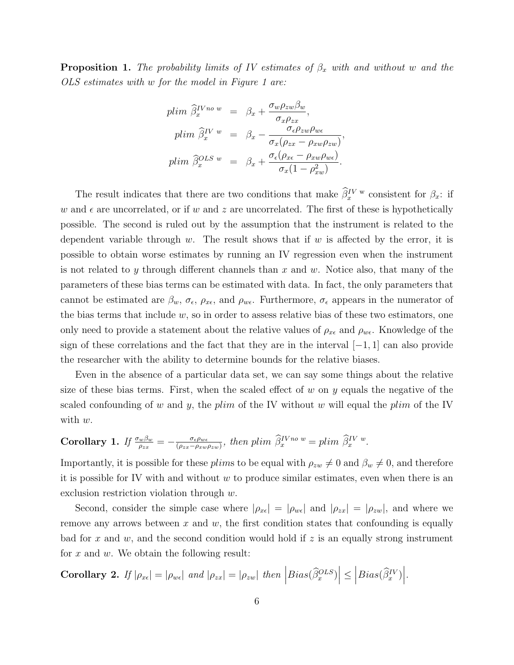**Proposition 1.** The probability limits of IV estimates of  $\beta_x$  with and without w and the OLS estimates with w for the model in Figure 1 are:

$$
plim \hat{\beta}_x^{IVno w} = \beta_x + \frac{\sigma_w \rho_{zw} \beta_w}{\sigma_x \rho_{zx}},
$$
  
\n
$$
plim \hat{\beta}_x^{IV w} = \beta_x - \frac{\sigma_{\epsilon} \rho_{zw} \rho_{w\epsilon}}{\sigma_x (\rho_{zx} - \rho_{xw} \rho_{zw})},
$$
  
\n
$$
plim \hat{\beta}_x^{OLS w} = \beta_x + \frac{\sigma_{\epsilon} (\rho_{xe} - \rho_{xw} \rho_{w\epsilon})}{\sigma_x (1 - \rho_{xw}^2)}.
$$

The result indicates that there are two conditions that make  $\hat{\beta}_x^{IV}$ <sup>w</sup> consistent for  $\beta_x$ : if w and  $\epsilon$  are uncorrelated, or if w and z are uncorrelated. The first of these is hypothetically possible. The second is ruled out by the assumption that the instrument is related to the dependent variable through  $w$ . The result shows that if  $w$  is affected by the error, it is possible to obtain worse estimates by running an IV regression even when the instrument is not related to y through different channels than  $x$  and  $w$ . Notice also, that many of the parameters of these bias terms can be estimated with data. In fact, the only parameters that cannot be estimated are  $\beta_w$ ,  $\sigma_{\epsilon}$ ,  $\rho_{x\epsilon}$ , and  $\rho_{w\epsilon}$ . Furthermore,  $\sigma_{\epsilon}$  appears in the numerator of the bias terms that include  $w$ , so in order to assess relative bias of these two estimators, one only need to provide a statement about the relative values of  $\rho_{x\epsilon}$  and  $\rho_{w\epsilon}$ . Knowledge of the sign of these correlations and the fact that they are in the interval  $[-1, 1]$  can also provide the researcher with the ability to determine bounds for the relative biases.

Even in the absence of a particular data set, we can say some things about the relative size of these bias terms. First, when the scaled effect of w on y equals the negative of the scaled confounding of w and y, the plim of the IV without w will equal the plim of the IV with  $w$ .

Corollary 1. If 
$$
\frac{\sigma_w \beta_w}{\rho_{zx}} = -\frac{\sigma_{\epsilon} \rho_{w\epsilon}}{(\rho_{zx} - \rho_{xw}\rho_{zw})}
$$
, then plim  $\hat{\beta}_x^{IVn\sigma} = \rho \lim \hat{\beta}_x^{IVw}$ .

Importantly, it is possible for these plims to be equal with  $\rho_{zw} \neq 0$  and  $\beta_w \neq 0$ , and therefore it is possible for IV with and without  $w$  to produce similar estimates, even when there is an exclusion restriction violation through w.

Second, consider the simple case where  $|\rho_{x\epsilon}| = |\rho_{w\epsilon}|$  and  $|\rho_{zx}| = |\rho_{zw}|$ , and where we remove any arrows between  $x$  and  $w$ , the first condition states that confounding is equally bad for x and w, and the second condition would hold if z is an equally strong instrument for  $x$  and  $w$ . We obtain the following result:

Corollary 2. If  $|\rho_{xe}| = |\rho_{we}|$  and  $|\rho_{zx}| = |\rho_{zw}|$  then  $|Bias(\widehat{\beta}_x^{OLS})| \leq |Bias(\widehat{\beta}_x^{IV})|$ .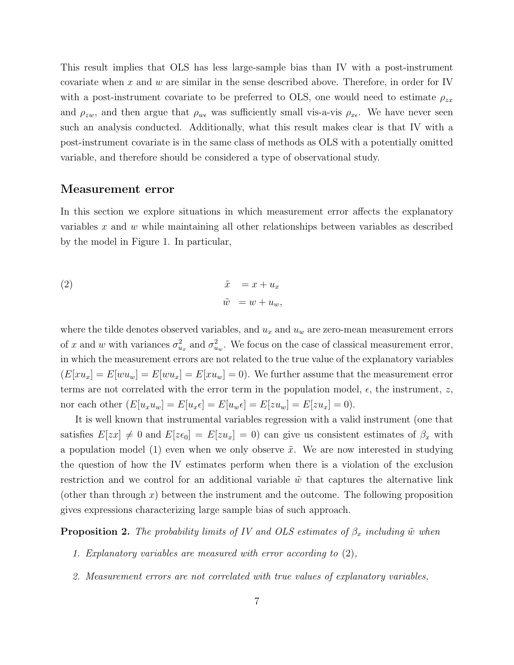This result implies that OLS has less large-sample bias than IV with a post-instrument covariate when x and w are similar in the sense described above. Therefore, in order for IV with a post-instrument covariate to be preferred to OLS, one would need to estimate  $\rho_{zx}$ and  $\rho_{zw}$ , and then argue that  $\rho_{w\epsilon}$  was sufficiently small vis-a-vis  $\rho_{x\epsilon}$ . We have never seen such an analysis conducted. Additionally, what this result makes clear is that IV with a post-instrument covariate is in the same class of methods as OLS with a potentially omitted variable, and therefore should be considered a type of observational study.

#### Measurement error

In this section we explore situations in which measurement error affects the explanatory variables  $x$  and  $w$  while maintaining all other relationships between variables as described by the model in Figure 1. In particular,

(2) 
$$
\begin{aligned}\n\tilde{x} &= x + u_x \\
\tilde{w} &= w + u_w,\n\end{aligned}
$$

where the tilde denotes observed variables, and  $u_x$  and  $u_w$  are zero-mean measurement errors of x and w with variances  $\sigma_{u_x}^2$  and  $\sigma_{u_w}^2$ . We focus on the case of classical measurement error, in which the measurement errors are not related to the true value of the explanatory variables  $(E[xu_x] = E[wu_w] = E[wu_x] = E[xu_w] = 0$ . We further assume that the measurement error terms are not correlated with the error term in the population model,  $\epsilon$ , the instrument, z, nor each other  $(E[u_xu_w] = E[u_x \epsilon] = E[u_w \epsilon] = E[zu_w] = E[zu_x] = 0$ .

It is well known that instrumental variables regression with a valid instrument (one that satisfies  $E[zx] \neq 0$  and  $E[z\epsilon_0] = E[zu_x] = 0$  can give us consistent estimates of  $\beta_x$  with a population model (1) even when we only observe  $\tilde{x}$ . We are now interested in studying the question of how the IV estimates perform when there is a violation of the exclusion restriction and we control for an additional variable  $\tilde{w}$  that captures the alternative link (other than through  $x$ ) between the instrument and the outcome. The following proposition gives expressions characterizing large sample bias of such approach.

**Proposition 2.** The probability limits of IV and OLS estimates of  $\beta_x$  including  $\tilde{w}$  when

- 1. Explanatory variables are measured with error according to (2),
- 2. Measurement errors are not correlated with true values of explanatory variables,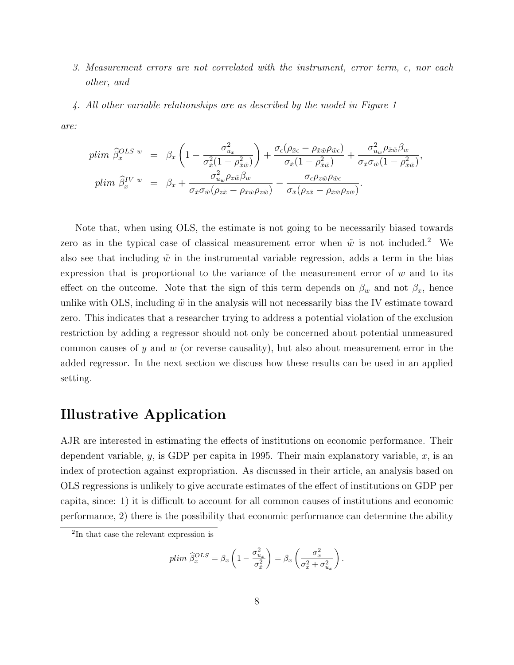- 3. Measurement errors are not correlated with the instrument, error term,  $\epsilon$ , nor each other, and
- 4. All other variable relationships are as described by the model in Figure 1

are:

$$
plim \ \hat{\beta}_x^{OLS \ w} = \beta_x \left( 1 - \frac{\sigma_{u_x}^2}{\sigma_{\tilde{x}}^2 (1 - \rho_{\tilde{x}\tilde{w}}^2)} \right) + \frac{\sigma_{\epsilon} (\rho_{\tilde{x}\epsilon} - \rho_{\tilde{x}\tilde{w}} \rho_{\tilde{w}\epsilon})}{\sigma_{\tilde{x}} (1 - \rho_{\tilde{x}\tilde{w}}^2)} + \frac{\sigma_{u_w}^2 \rho_{\tilde{x}\tilde{w}} \beta_w}{\sigma_{\tilde{x}} \sigma_{\tilde{w}} (1 - \rho_{\tilde{x}\tilde{w}}^2)},
$$
  
\n
$$
plim \ \hat{\beta}_x^{IV \ w} = \beta_x + \frac{\sigma_{u_w}^2 \rho_{z\tilde{w}} \beta_w}{\sigma_{\tilde{x}} \sigma_{\tilde{w}} (\rho_{z\tilde{x}} - \rho_{\tilde{x}\tilde{w}} \rho_{z\tilde{w}})} - \frac{\sigma_{\epsilon} \rho_{z\tilde{w}} \rho_{\tilde{w}\epsilon}}{\sigma_{\tilde{x}} (\rho_{z\tilde{x}} - \rho_{\tilde{x}\tilde{w}} \rho_{z\tilde{w}})}.
$$

Note that, when using OLS, the estimate is not going to be necessarily biased towards zero as in the typical case of classical measurement error when  $\tilde{w}$  is not included.<sup>2</sup> We also see that including  $\tilde{w}$  in the instrumental variable regression, adds a term in the bias expression that is proportional to the variance of the measurement error of  $w$  and to its effect on the outcome. Note that the sign of this term depends on  $\beta_w$  and not  $\beta_x$ , hence unlike with OLS, including  $\tilde{w}$  in the analysis will not necessarily bias the IV estimate toward zero. This indicates that a researcher trying to address a potential violation of the exclusion restriction by adding a regressor should not only be concerned about potential unmeasured common causes of y and w (or reverse causality), but also about measurement error in the added regressor. In the next section we discuss how these results can be used in an applied setting.

### Illustrative Application

AJR are interested in estimating the effects of institutions on economic performance. Their dependent variable, y, is GDP per capita in 1995. Their main explanatory variable,  $x$ , is an index of protection against expropriation. As discussed in their article, an analysis based on OLS regressions is unlikely to give accurate estimates of the effect of institutions on GDP per capita, since: 1) it is difficult to account for all common causes of institutions and economic performance, 2) there is the possibility that economic performance can determine the ability

$$
plim \ \widehat{\beta}_x^{OLS} = \beta_x \left( 1 - \frac{\sigma_{u_x}^2}{\sigma_{\tilde{x}}^2} \right) = \beta_x \left( \frac{\sigma_x^2}{\sigma_x^2 + \sigma_{u_x}^2} \right)
$$

.

<sup>2</sup> In that case the relevant expression is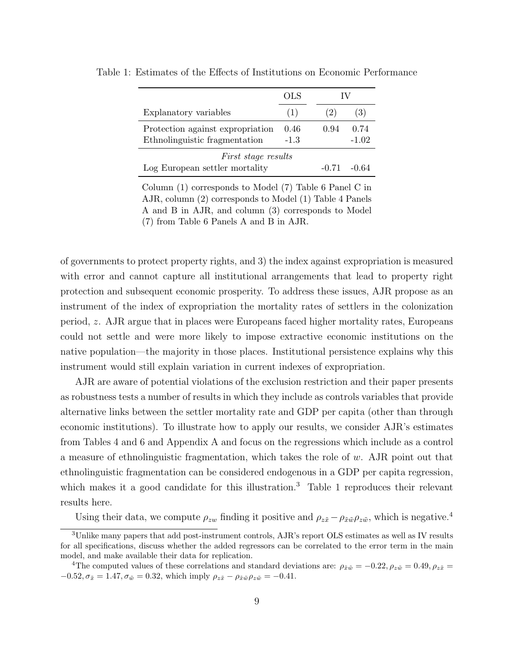|                                                                         | OLS            |      |                 |  |
|-------------------------------------------------------------------------|----------------|------|-----------------|--|
| Explanatory variables                                                   | (1)            | (2)  | (3)             |  |
| Protection against expropriation<br>Ethnolinguistic fragmentation       | 0.46<br>$-1.3$ | 0.94 | 0.74<br>$-1.02$ |  |
| <i>First stage results</i><br>Log European settler mortality<br>$-0.71$ |                |      | -0.64           |  |

Table 1: Estimates of the Effects of Institutions on Economic Performance

Column (1) corresponds to Model (7) Table 6 Panel C in AJR, column (2) corresponds to Model (1) Table 4 Panels A and B in AJR, and column (3) corresponds to Model (7) from Table 6 Panels A and B in AJR.

of governments to protect property rights, and 3) the index against expropriation is measured with error and cannot capture all institutional arrangements that lead to property right protection and subsequent economic prosperity. To address these issues, AJR propose as an instrument of the index of expropriation the mortality rates of settlers in the colonization period, z. AJR argue that in places were Europeans faced higher mortality rates, Europeans could not settle and were more likely to impose extractive economic institutions on the native population—the majority in those places. Institutional persistence explains why this instrument would still explain variation in current indexes of expropriation.

AJR are aware of potential violations of the exclusion restriction and their paper presents as robustness tests a number of results in which they include as controls variables that provide alternative links between the settler mortality rate and GDP per capita (other than through economic institutions). To illustrate how to apply our results, we consider AJR's estimates from Tables 4 and 6 and Appendix A and focus on the regressions which include as a control a measure of ethnolinguistic fragmentation, which takes the role of w. AJR point out that ethnolinguistic fragmentation can be considered endogenous in a GDP per capita regression, which makes it a good candidate for this illustration.<sup>3</sup> Table 1 reproduces their relevant results here.

Using their data, we compute  $\rho_{zw}$  finding it positive and  $\rho_{z\tilde{x}} - \rho_{\tilde{x}\tilde{w}}\rho_{z\tilde{w}}$ , which is negative.<sup>4</sup>

<sup>3</sup>Unlike many papers that add post-instrument controls, AJR's report OLS estimates as well as IV results for all specifications, discuss whether the added regressors can be correlated to the error term in the main model, and make available their data for replication.

<sup>&</sup>lt;sup>4</sup>The computed values of these correlations and standard deviations are:  $\rho_{\tilde{x}\tilde{w}} = -0.22, \rho_{z\tilde{w}} = 0.49, \rho_{z\tilde{x}} =$  $-0.52, \sigma_{\tilde{x}} = 1.47, \sigma_{\tilde{w}} = 0.32$ , which imply  $\rho_{z\tilde{x}} - \rho_{\tilde{x}\tilde{w}}\rho_{z\tilde{w}} = -0.41$ .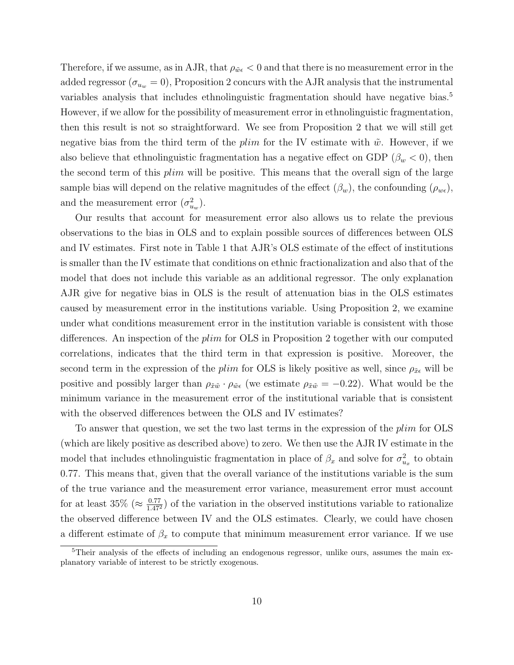Therefore, if we assume, as in AJR, that  $\rho_{\tilde{w}\epsilon}$   $< 0$  and that there is no measurement error in the added regressor ( $\sigma_{u_w} = 0$ ), Proposition 2 concurs with the AJR analysis that the instrumental variables analysis that includes ethnolinguistic fragmentation should have negative bias.<sup>5</sup> However, if we allow for the possibility of measurement error in ethnolinguistic fragmentation, then this result is not so straightforward. We see from Proposition 2 that we will still get negative bias from the third term of the plim for the IV estimate with  $\tilde{w}$ . However, if we also believe that ethnolinguistic fragmentation has a negative effect on GDP ( $\beta_w < 0$ ), then the second term of this *plim* will be positive. This means that the overall sign of the large sample bias will depend on the relative magnitudes of the effect  $(\beta_w)$ , the confounding  $(\rho_{w\epsilon})$ , and the measurement error  $(\sigma_{u_w}^2)$ .

Our results that account for measurement error also allows us to relate the previous observations to the bias in OLS and to explain possible sources of differences between OLS and IV estimates. First note in Table 1 that AJR's OLS estimate of the effect of institutions is smaller than the IV estimate that conditions on ethnic fractionalization and also that of the model that does not include this variable as an additional regressor. The only explanation AJR give for negative bias in OLS is the result of attenuation bias in the OLS estimates caused by measurement error in the institutions variable. Using Proposition 2, we examine under what conditions measurement error in the institution variable is consistent with those differences. An inspection of the plim for OLS in Proposition 2 together with our computed correlations, indicates that the third term in that expression is positive. Moreover, the second term in the expression of the plim for OLS is likely positive as well, since  $\rho_{\tilde{x}\epsilon}$  will be positive and possibly larger than  $\rho_{\tilde{x}\tilde{w}} \cdot \rho_{\tilde{w}\tilde{e}}$  (we estimate  $\rho_{\tilde{x}\tilde{w}} = -0.22$ ). What would be the minimum variance in the measurement error of the institutional variable that is consistent with the observed differences between the OLS and IV estimates?

To answer that question, we set the two last terms in the expression of the *plim* for OLS (which are likely positive as described above) to zero. We then use the AJR IV estimate in the model that includes ethnolinguistic fragmentation in place of  $\beta_x$  and solve for  $\sigma_{u_x}^2$  to obtain 0.77. This means that, given that the overall variance of the institutions variable is the sum of the true variance and the measurement error variance, measurement error must account for at least 35% ( $\approx \frac{0.77}{1.47^2}$ ) of the variation in the observed institutions variable to rationalize the observed difference between IV and the OLS estimates. Clearly, we could have chosen a different estimate of  $\beta_x$  to compute that minimum measurement error variance. If we use

<sup>5</sup>Their analysis of the effects of including an endogenous regressor, unlike ours, assumes the main explanatory variable of interest to be strictly exogenous.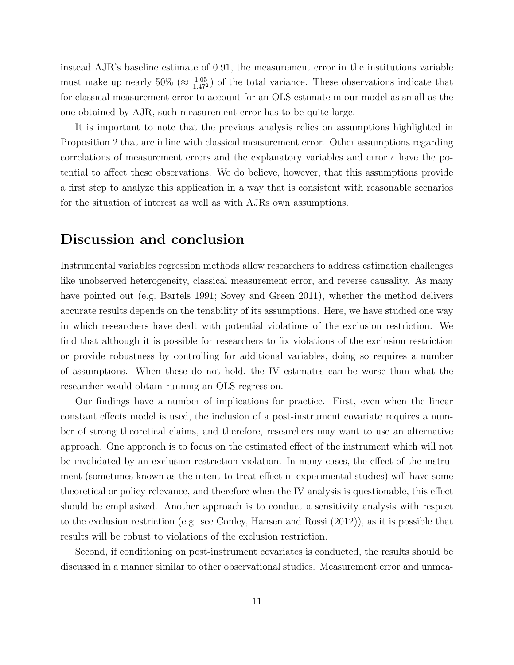instead AJR's baseline estimate of 0.91, the measurement error in the institutions variable must make up nearly  $50\%$  ( $\approx \frac{1.05}{1.47^2}$ ) of the total variance. These observations indicate that for classical measurement error to account for an OLS estimate in our model as small as the one obtained by AJR, such measurement error has to be quite large.

It is important to note that the previous analysis relies on assumptions highlighted in Proposition 2 that are inline with classical measurement error. Other assumptions regarding correlations of measurement errors and the explanatory variables and error  $\epsilon$  have the potential to affect these observations. We do believe, however, that this assumptions provide a first step to analyze this application in a way that is consistent with reasonable scenarios for the situation of interest as well as with AJRs own assumptions.

## Discussion and conclusion

Instrumental variables regression methods allow researchers to address estimation challenges like unobserved heterogeneity, classical measurement error, and reverse causality. As many have pointed out (e.g. Bartels 1991; Sovey and Green 2011), whether the method delivers accurate results depends on the tenability of its assumptions. Here, we have studied one way in which researchers have dealt with potential violations of the exclusion restriction. We find that although it is possible for researchers to fix violations of the exclusion restriction or provide robustness by controlling for additional variables, doing so requires a number of assumptions. When these do not hold, the IV estimates can be worse than what the researcher would obtain running an OLS regression.

Our findings have a number of implications for practice. First, even when the linear constant effects model is used, the inclusion of a post-instrument covariate requires a number of strong theoretical claims, and therefore, researchers may want to use an alternative approach. One approach is to focus on the estimated effect of the instrument which will not be invalidated by an exclusion restriction violation. In many cases, the effect of the instrument (sometimes known as the intent-to-treat effect in experimental studies) will have some theoretical or policy relevance, and therefore when the IV analysis is questionable, this effect should be emphasized. Another approach is to conduct a sensitivity analysis with respect to the exclusion restriction (e.g. see Conley, Hansen and Rossi (2012)), as it is possible that results will be robust to violations of the exclusion restriction.

Second, if conditioning on post-instrument covariates is conducted, the results should be discussed in a manner similar to other observational studies. Measurement error and unmea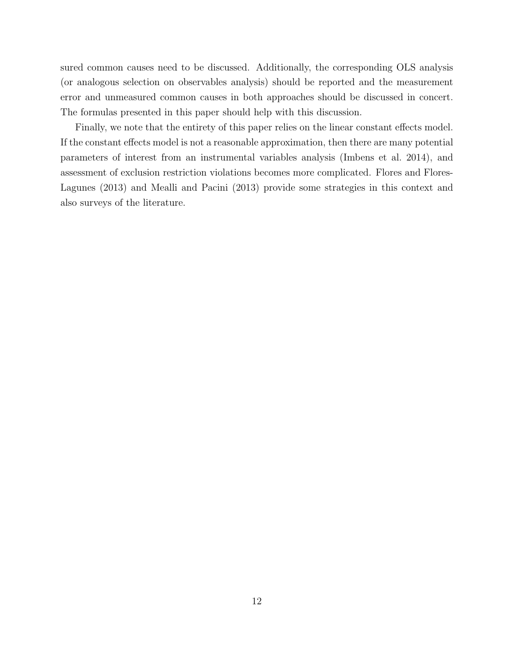sured common causes need to be discussed. Additionally, the corresponding OLS analysis (or analogous selection on observables analysis) should be reported and the measurement error and unmeasured common causes in both approaches should be discussed in concert. The formulas presented in this paper should help with this discussion.

Finally, we note that the entirety of this paper relies on the linear constant effects model. If the constant effects model is not a reasonable approximation, then there are many potential parameters of interest from an instrumental variables analysis (Imbens et al. 2014), and assessment of exclusion restriction violations becomes more complicated. Flores and Flores-Lagunes (2013) and Mealli and Pacini (2013) provide some strategies in this context and also surveys of the literature.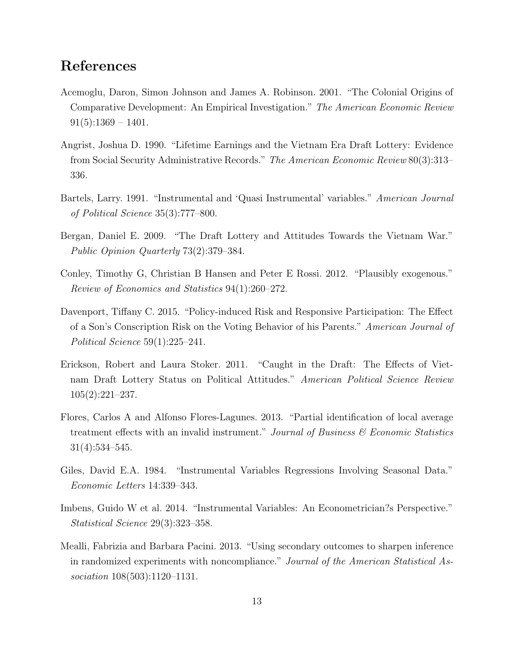## References

- Acemoglu, Daron, Simon Johnson and James A. Robinson. 2001. "The Colonial Origins of Comparative Development: An Empirical Investigation." The American Economic Review  $91(5):1369-1401.$
- Angrist, Joshua D. 1990. "Lifetime Earnings and the Vietnam Era Draft Lottery: Evidence from Social Security Administrative Records." The American Economic Review 80(3):313– 336.
- Bartels, Larry. 1991. "Instrumental and 'Quasi Instrumental' variables." American Journal of Political Science 35(3):777–800.
- Bergan, Daniel E. 2009. "The Draft Lottery and Attitudes Towards the Vietnam War." Public Opinion Quarterly 73(2):379–384.
- Conley, Timothy G, Christian B Hansen and Peter E Rossi. 2012. "Plausibly exogenous." Review of Economics and Statistics 94(1):260–272.
- Davenport, Tiffany C. 2015. "Policy-induced Risk and Responsive Participation: The Effect of a Son's Conscription Risk on the Voting Behavior of his Parents." American Journal of Political Science 59(1):225–241.
- Erickson, Robert and Laura Stoker. 2011. "Caught in the Draft: The Effects of Vietnam Draft Lottery Status on Political Attitudes." American Political Science Review 105(2):221–237.
- Flores, Carlos A and Alfonso Flores-Lagunes. 2013. "Partial identification of local average treatment effects with an invalid instrument." Journal of Business  $\mathscr$  Economic Statistics 31(4):534–545.
- Giles, David E.A. 1984. "Instrumental Variables Regressions Involving Seasonal Data." Economic Letters 14:339–343.
- Imbens, Guido W et al. 2014. "Instrumental Variables: An Econometrician?s Perspective." Statistical Science 29(3):323–358.
- Mealli, Fabrizia and Barbara Pacini. 2013. "Using secondary outcomes to sharpen inference in randomized experiments with noncompliance." Journal of the American Statistical Association 108(503):1120–1131.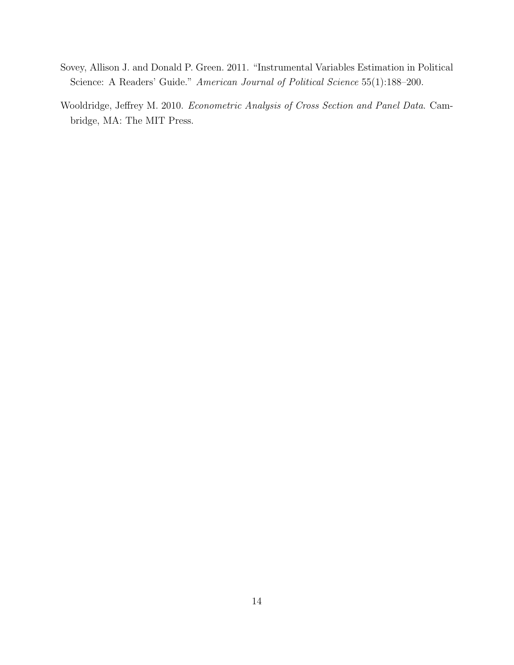- Sovey, Allison J. and Donald P. Green. 2011. "Instrumental Variables Estimation in Political Science: A Readers' Guide." American Journal of Political Science 55(1):188-200.
- Wooldridge, Jeffrey M. 2010. Econometric Analysis of Cross Section and Panel Data. Cambridge, MA: The MIT Press.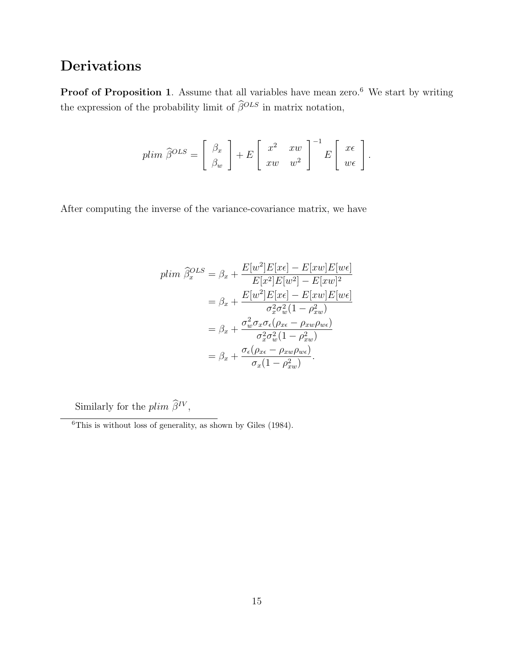# Derivations

Proof of Proposition 1. Assume that all variables have mean zero.<sup>6</sup> We start by writing the expression of the probability limit of  $\widehat{\beta}^{OLS}$  in matrix notation,

$$
plim \ \widehat{\beta}^{OLS} = \left[ \begin{array}{c} \beta_x \\ \beta_w \end{array} \right] + E \left[ \begin{array}{cc} x^2 & xw \\ xw & w^2 \end{array} \right]^{-1} E \left[ \begin{array}{c} x\epsilon \\ w\epsilon \end{array} \right].
$$

After computing the inverse of the variance-covariance matrix, we have

$$
plim \ \hat{\beta}_x^{OLS} = \beta_x + \frac{E[w^2]E[x\epsilon] - E[xw]E[w\epsilon]}{E[x^2]E[w^2] - E[xw]^2}
$$

$$
= \beta_x + \frac{E[w^2]E[x\epsilon] - E[xw]E[w\epsilon]}{\sigma_x^2 \sigma_w^2 (1 - \rho_{xw}^2)}
$$

$$
= \beta_x + \frac{\sigma_w^2 \sigma_x \sigma_\epsilon (\rho_{x\epsilon} - \rho_{xw}\rho_{w\epsilon})}{\sigma_x^2 \sigma_w^2 (1 - \rho_{xw}^2)}
$$

$$
= \beta_x + \frac{\sigma_\epsilon (\rho_{x\epsilon} - \rho_{xw}\rho_{w\epsilon})}{\sigma_x (1 - \rho_{xw}^2)}.
$$

Similarly for the  $plim \hat{\beta}^{IV}$ ,

 $6$ This is without loss of generality, as shown by Giles (1984).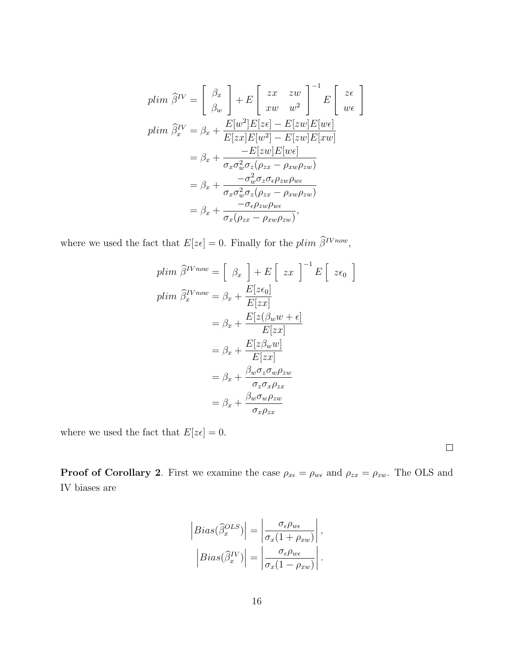$$
plim \ \hat{\beta}^{IV} = \begin{bmatrix} \beta_x \\ \beta_w \end{bmatrix} + E \begin{bmatrix} zx & zw \\ xw & w^2 \end{bmatrix}^{-1} E \begin{bmatrix} z\epsilon \\ w\epsilon \end{bmatrix}
$$
  
\n
$$
plim \ \hat{\beta}_x^{IV} = \beta_x + \frac{E[w^2]E[z\epsilon] - E[zw]E[w\epsilon]}{E[zx]E[w^2] - E[zw]E[xw]}
$$
  
\n
$$
= \beta_x + \frac{-E[zw]E[w\epsilon]}{\sigma_x \sigma_w^2 \sigma_z (\rho_{zx} - \rho_{xw}\rho_{zw})}
$$
  
\n
$$
= \beta_x + \frac{-\sigma_w^2 \sigma_z \sigma_{\epsilon} \rho_{zw} \rho_{w\epsilon}}{\sigma_x \sigma_w^2 \sigma_z (\rho_{zx} - \rho_{xw}\rho_{zw})}
$$
  
\n
$$
= \beta_x + \frac{-\sigma_{\epsilon} \rho_{zw} \rho_{w\epsilon}}{\sigma_x (\rho_{zx} - \rho_{xw}\rho_{zw})},
$$

where we used the fact that  $E[z\epsilon] = 0$ . Finally for the plim  $\widehat{\beta}^{IVnow}$ ,

$$
plim \ \hat{\beta}^{IVnow} = \left[ \beta_x \right] + E \left[ zx \right]^{-1} E \left[ z \epsilon_0 \right]
$$
  
\n
$$
plim \ \hat{\beta}_x^{IVnow} = \beta_x + \frac{E[z \epsilon_0]}{E[zx]}
$$
  
\n
$$
= \beta_x + \frac{E[z(\beta_w w + \epsilon)]}{E[zx]}
$$
  
\n
$$
= \beta_x + \frac{E[z\beta_w w]}{E[zx]}
$$
  
\n
$$
= \beta_x + \frac{\beta_w \sigma_z \sigma_w \rho_{zw}}{\sigma_z \sigma_x \rho_{zx}}
$$
  
\n
$$
= \beta_x + \frac{\beta_w \sigma_w \rho_{zw}}{\sigma_x \rho_{zx}}
$$

where we used the fact that  $E[z\epsilon] = 0.$ 

**Proof of Corollary 2.** First we examine the case  $\rho_{x\epsilon} = \rho_{w\epsilon}$  and  $\rho_{zx} = \rho_{zw}$ . The OLS and IV biases are

$$
\left| Bias(\widehat{\beta}_x^{OLS})\right| = \left|\frac{\sigma_{\epsilon}\rho_{w\epsilon}}{\sigma_x(1+\rho_{xw})}\right|,
$$

$$
\left| Bias(\widehat{\beta}_x^{IV})\right| = \left|\frac{\sigma_{\epsilon}\rho_{w\epsilon}}{\sigma_x(1-\rho_{xw})}\right|.
$$

 $\Box$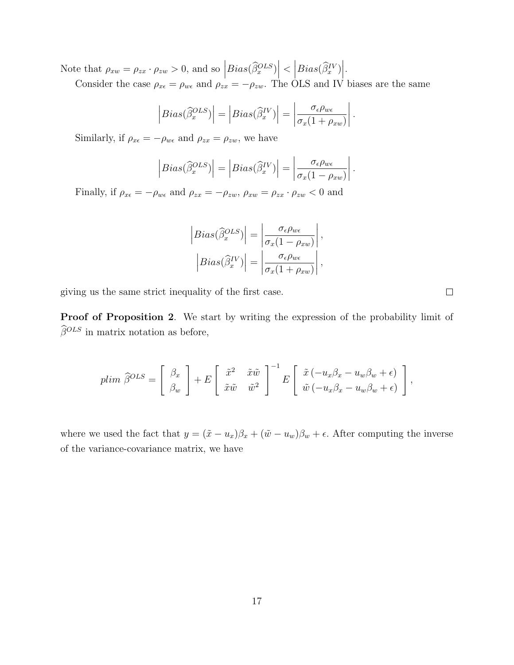Note that  $\rho_{xw} = \rho_{zx} \cdot \rho_{zw} > 0$ , and so  $\left| Bias(\widehat{\beta}_x^{OLS}) \right|$  $\langle \left| Bias(\widehat{\beta}_{x}^{IV}) \right|$ .

Consider the case  $\rho_{x\epsilon} = \rho_{w\epsilon}$  and  $\rho_{zx} = -\rho_{zw}$ . The OLS and IV biases are the same

$$
\left| Bias(\widehat{\beta}_x^{OLS})\right| = \left| Bias(\widehat{\beta}_x^{IV})\right| = \left| \frac{\sigma_{\epsilon} \rho_{w\epsilon}}{\sigma_x (1 + \rho_{xw})} \right|
$$

.

.

Similarly, if  $\rho_{x\epsilon} = -\rho_{w\epsilon}$  and  $\rho_{zx} = \rho_{zw}$ , we have

$$
\left| Bias(\widehat{\beta}_x^{OLS})\right| = \left| Bias(\widehat{\beta}_x^{IV})\right| = \left| \frac{\sigma_{\epsilon} \rho_{w\epsilon}}{\sigma_x (1 - \rho_{xw})} \right|
$$

Finally, if  $\rho_{x\epsilon} = -\rho_{w\epsilon}$  and  $\rho_{zx} = -\rho_{zw}$ ,  $\rho_{xw} = \rho_{zx} \cdot \rho_{zw} < 0$  and

$$
\left| Bias(\widehat{\beta}_x^{OLS})\right| = \left|\frac{\sigma_{\epsilon}\rho_{w\epsilon}}{\sigma_x(1-\rho_{xw})}\right|,
$$

$$
\left| Bias(\widehat{\beta}_x^{IV})\right| = \left|\frac{\sigma_{\epsilon}\rho_{w\epsilon}}{\sigma_x(1+\rho_{xw})}\right|,
$$

giving us the same strict inequality of the first case.

Proof of Proposition 2. We start by writing the expression of the probability limit of  $\widehat{\beta}^{OLS}$  in matrix notation as before,

$$
plim \ \hat{\beta}^{OLS} = \begin{bmatrix} \beta_x \\ \beta_w \end{bmatrix} + E \begin{bmatrix} \tilde{x}^2 & \tilde{x}\tilde{w} \\ \tilde{x}\tilde{w} & \tilde{w}^2 \end{bmatrix}^{-1} E \begin{bmatrix} \tilde{x}(-u_x\beta_x - u_w\beta_w + \epsilon) \\ \tilde{w}(-u_x\beta_x - u_w\beta_w + \epsilon) \end{bmatrix},
$$

where we used the fact that  $y = (\tilde{x} - u_x)\beta_x + (\tilde{w} - u_w)\beta_w + \epsilon$ . After computing the inverse of the variance-covariance matrix, we have

 $\Box$